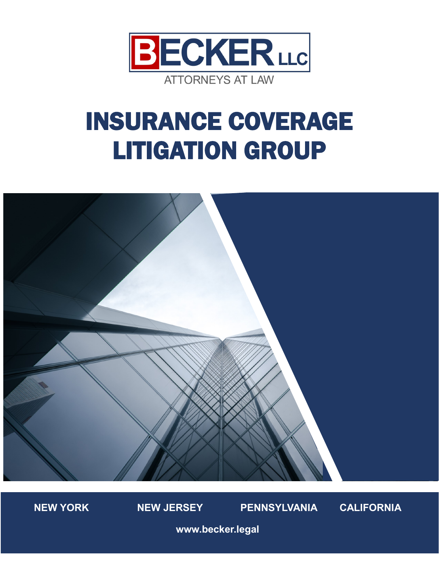

# INSURANCE COVERAGE LITIGATION GROUP





**www.becker.legal**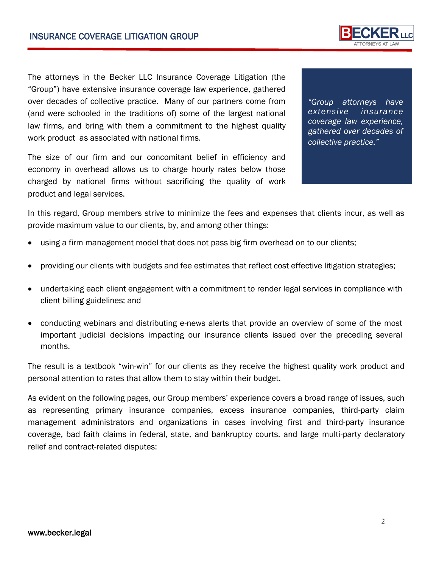The attorneys in the Becker LLC Insurance Coverage Litigation (the "Group") have extensive insurance coverage law experience, gathered over decades of collective practice. Many of our partners come from (and were schooled in the traditions of) some of the largest national law firms, and bring with them a commitment to the highest quality work product as associated with national firms.

The size of our firm and our concomitant belief in efficiency and economy in overhead allows us to charge hourly rates below those charged by national firms without sacrificing the quality of work product and legal services.

In this regard, Group members strive to minimize the fees and expenses that clients incur, as well as provide maximum value to our clients, by, and among other things:

- using a firm management model that does not pass big firm overhead on to our clients;
- providing our clients with budgets and fee estimates that reflect cost effective litigation strategies;
- undertaking each client engagement with a commitment to render legal services in compliance with client billing guidelines; and
- conducting webinars and distributing e-news alerts that provide an overview of some of the most important judicial decisions impacting our insurance clients issued over the preceding several months.

The result is a textbook "win-win" for our clients as they receive the highest quality work product and personal attention to rates that allow them to stay within their budget.

As evident on the following pages, our Group members' experience covers a broad range of issues, such as representing primary insurance companies, excess insurance companies, third-party claim management administrators and organizations in cases involving first and third-party insurance coverage, bad faith claims in federal, state, and bankruptcy courts, and large multi-party declaratory relief and contract-related disputes:



*"Group attorneys have extensive insurance coverage law experience, gathered over decades of collective practice."*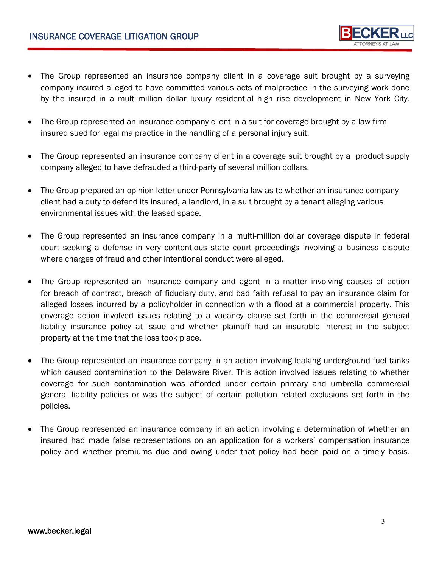- The Group represented an insurance company client in a coverage suit brought by a surveying company insured alleged to have committed various acts of malpractice in the surveying work done by the insured in a multi-million dollar luxury residential high rise development in New York City.
- The Group represented an insurance company client in a suit for coverage brought by a law firm insured sued for legal malpractice in the handling of a personal injury suit.
- The Group represented an insurance company client in a coverage suit brought by a product supply company alleged to have defrauded a third-party of several million dollars.
- The Group prepared an opinion letter under Pennsylvania law as to whether an insurance company client had a duty to defend its insured, a landlord, in a suit brought by a tenant alleging various environmental issues with the leased space.
- The Group represented an insurance company in a multi-million dollar coverage dispute in federal court seeking a defense in very contentious state court proceedings involving a business dispute where charges of fraud and other intentional conduct were alleged.
- The Group represented an insurance company and agent in a matter involving causes of action for breach of contract, breach of fiduciary duty, and bad faith refusal to pay an insurance claim for alleged losses incurred by a policyholder in connection with a flood at a commercial property. This coverage action involved issues relating to a vacancy clause set forth in the commercial general liability insurance policy at issue and whether plaintiff had an insurable interest in the subject property at the time that the loss took place.
- The Group represented an insurance company in an action involving leaking underground fuel tanks which caused contamination to the Delaware River. This action involved issues relating to whether coverage for such contamination was afforded under certain primary and umbrella commercial general liability policies or was the subject of certain pollution related exclusions set forth in the policies.
- The Group represented an insurance company in an action involving a determination of whether an insured had made false representations on an application for a workers' compensation insurance policy and whether premiums due and owing under that policy had been paid on a timely basis.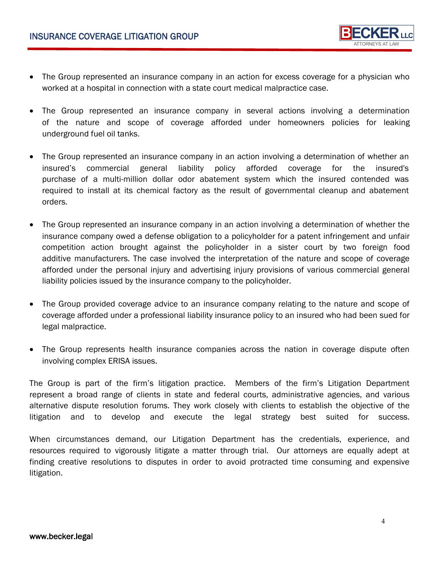

- The Group represented an insurance company in an action for excess coverage for a physician who worked at a hospital in connection with a state court medical malpractice case.
- The Group represented an insurance company in several actions involving a determination of the nature and scope of coverage afforded under homeowners policies for leaking underground fuel oil tanks.
- The Group represented an insurance company in an action involving a determination of whether an insured's commercial general liability policy afforded coverage for the insured's purchase of a multi-million dollar odor abatement system which the insured contended was required to install at its chemical factory as the result of governmental cleanup and abatement orders.
- The Group represented an insurance company in an action involving a determination of whether the insurance company owed a defense obligation to a policyholder for a patent infringement and unfair competition action brought against the policyholder in a sister court by two foreign food additive manufacturers. The case involved the interpretation of the nature and scope of coverage afforded under the personal injury and advertising injury provisions of various commercial general liability policies issued by the insurance company to the policyholder.
- The Group provided coverage advice to an insurance company relating to the nature and scope of coverage afforded under a professional liability insurance policy to an insured who had been sued for legal malpractice.
- The Group represents health insurance companies across the nation in coverage dispute often involving complex ERISA issues.

The Group is part of the firm's litigation practice. Members of the firm's Litigation Department represent a broad range of clients in state and federal courts, administrative agencies, and various alternative dispute resolution forums. They work closely with clients to establish the objective of the litigation and to develop and execute the legal strategy best suited for success.

When circumstances demand, our Litigation Department has the credentials, experience, and resources required to vigorously litigate a matter through trial. Our attorneys are equally adept at finding creative resolutions to disputes in order to avoid protracted time consuming and expensive litigation.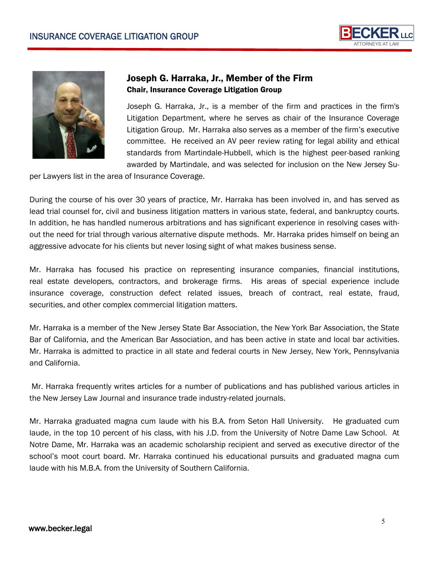



# Joseph G. Harraka, Jr., Member of the Firm Chair, Insurance Coverage Litigation Group

Joseph G. Harraka, Jr., is a member of the firm and practices in the firm's Litigation Department, where he serves as chair of the Insurance Coverage Litigation Group. Mr. Harraka also serves as a member of the firm's executive committee. He received an AV peer review rating for legal ability and ethical standards from Martindale-Hubbell, which is the highest peer-based ranking awarded by Martindale, and was selected for inclusion on the New Jersey Su-

per Lawyers list in the area of Insurance Coverage.

During the course of his over 30 years of practice, Mr. Harraka has been involved in, and has served as lead trial counsel for, civil and business litigation matters in various state, federal, and bankruptcy courts. In addition, he has handled numerous arbitrations and has significant experience in resolving cases without the need for trial through various alternative dispute methods. Mr. Harraka prides himself on being an aggressive advocate for his clients but never losing sight of what makes business sense.

Mr. Harraka has focused his practice on representing insurance companies, financial institutions, real estate developers, contractors, and brokerage firms. His areas of special experience include insurance coverage, construction defect related issues, breach of contract, real estate, fraud, securities, and other complex commercial litigation matters.

Mr. Harraka is a member of the New Jersey State Bar Association, the New York Bar Association, the State Bar of California, and the American Bar Association, and has been active in state and local bar activities. Mr. Harraka is admitted to practice in all state and federal courts in New Jersey, New York, Pennsylvania and California.

Mr. Harraka frequently writes articles for a number of publications and has published various articles in the New Jersey Law Journal and insurance trade industry-related journals.

Mr. Harraka graduated magna cum laude with his B.A. from Seton Hall University. He graduated cum laude, in the top 10 percent of his class, with his J.D. from the University of Notre Dame Law School. At Notre Dame, Mr. Harraka was an academic scholarship recipient and served as executive director of the school's moot court board. Mr. Harraka continued his educational pursuits and graduated magna cum laude with his M.B.A. from the University of Southern California.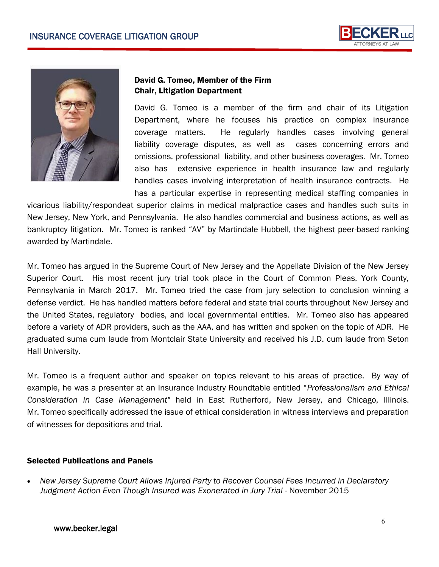



## David G. Tomeo, Member of the Firm Chair, Litigation Department

David G. Tomeo is a member of the firm and chair of its Litigation Department, where he focuses his practice on complex insurance coverage matters. He regularly handles cases involving general liability coverage disputes, as well as cases concerning errors and omissions, professional liability, and other business coverages. Mr. Tomeo also has extensive experience in health insurance law and regularly handles cases involving interpretation of health insurance contracts. He has a particular expertise in representing medical staffing companies in

vicarious liability/respondeat superior claims in medical malpractice cases and handles such suits in New Jersey, New York, and Pennsylvania. He also handles commercial and business actions, as well as bankruptcy litigation. Mr. Tomeo is ranked "AV" by Martindale Hubbell, the highest peer-based ranking awarded by Martindale.

Mr. Tomeo has argued in the Supreme Court of New Jersey and the Appellate Division of the New Jersey Superior Court. His most recent jury trial took place in the Court of Common Pleas, York County, Pennsylvania in March 2017. Mr. Tomeo tried the case from jury selection to conclusion winning a defense verdict. He has handled matters before federal and state trial courts throughout New Jersey and the United States, regulatory bodies, and local governmental entities. Mr. Tomeo also has appeared before a variety of ADR providers, such as the AAA, and has written and spoken on the topic of ADR. He graduated suma cum laude from Montclair State University and received his J.D. cum laude from Seton Hall University.

Mr. Tomeo is a frequent author and speaker on topics relevant to his areas of practice. By way of example, he was a presenter at an Insurance Industry Roundtable entitled "*Professionalism and Ethical Consideration in Case Management"* held in East Rutherford, New Jersey, and Chicago, Illinois. Mr. Tomeo specifically addressed the issue of ethical consideration in witness interviews and preparation of witnesses for depositions and trial.

## Selected Publications and Panels

 *New Jersey Supreme Court Allows Injured Party to Recover Counsel Fees Incurred in Declaratory*  Judgment Action Even Though Insured was Exonerated in Jury Trial - November 2015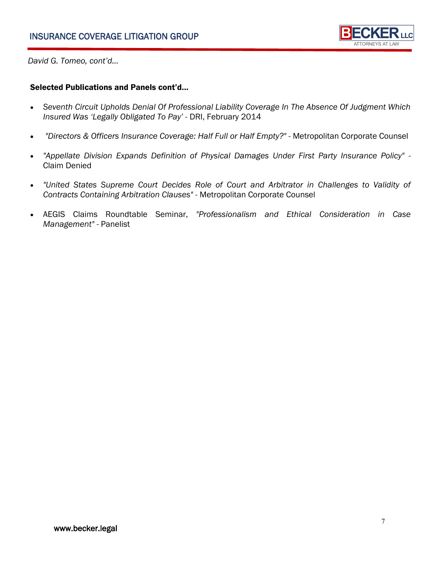

*David G. Tomeo, cont'd...*

#### Selected Publications and Panels cont'd...

- *Seventh Circuit Upholds Denial Of Professional Liability Coverage In The Absence Of Judgment Which Insured Was 'Legally Obligated To Pay'* - DRI, February 2014
- *"Directors & Officers Insurance Coverage: Half Full or Half Empty?"*  Metropolitan Corporate Counsel
- *"Appellate Division Expands Definition of Physical Damages Under First Party Insurance Policy"*  Claim Denied
- *"United States Supreme Court Decides Role of Court and Arbitrator in Challenges to Validity of Contracts Containing Arbitration Clauses"* - Metropolitan Corporate Counsel
- AEGIS Claims Roundtable Seminar, *"Professionalism and Ethical Consideration in Case Management"* - Panelist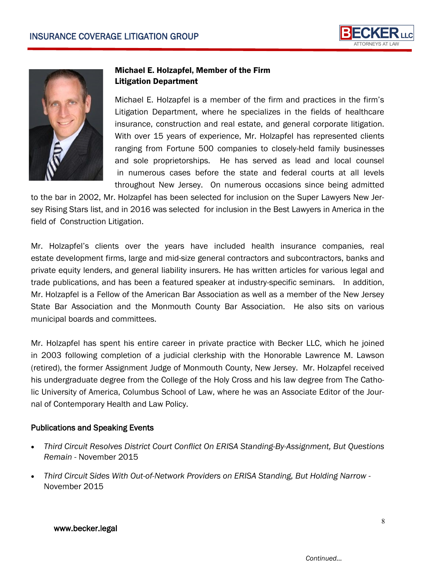



## Michael E. Holzapfel, Member of the Firm Litigation Department

Michael E. Holzapfel is a member of the firm and practices in the firm's Litigation Department, where he specializes in the fields of healthcare insurance, construction and real estate, and general corporate litigation. With over 15 years of experience, Mr. Holzapfel has represented clients ranging from Fortune 500 companies to closely-held family businesses and sole proprietorships. He has served as lead and local counsel in numerous cases before the state and federal courts at all levels throughout New Jersey. On numerous occasions since being admitted

to the bar in 2002, Mr. Holzapfel has been selected for inclusion on the Super Lawyers New Jersey Rising Stars list, and in 2016 was selected for inclusion in the Best Lawyers in America in the field of Construction Litigation.

Mr. Holzapfel's clients over the years have included health insurance companies, real estate development firms, large and mid-size general contractors and subcontractors, banks and private equity lenders, and general liability insurers. He has written articles for various legal and trade publications, and has been a featured speaker at industry-specific seminars. In addition, Mr. Holzapfel is a Fellow of the American Bar Association as well as a member of the New Jersey State Bar Association and the Monmouth County Bar Association. He also sits on various municipal boards and committees.

Mr. Holzapfel has spent his entire career in private practice with Becker LLC, which he joined in 2003 following completion of a judicial clerkship with the Honorable Lawrence M. Lawson (retired), the former Assignment Judge of Monmouth County, New Jersey. Mr. Holzapfel received his undergraduate degree from the College of the Holy Cross and his law degree from The Catholic University of America, Columbus School of Law, where he was an Associate Editor of the Journal of Contemporary Health and Law Policy.

## Publications and Speaking Events

- *Third Circuit Resolves District Court Conflict On ERISA Standing-By-Assignment, But Questions Remain* - November 2015
- *Third Circuit Sides With Out-of-Network Providers on ERISA Standing, But Holding Narrow*  November 2015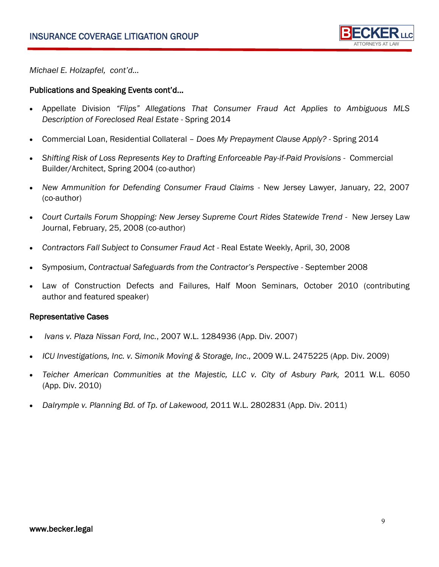

*Michael E. Holzapfel, cont'd...*

#### Publications and Speaking Events cont'd...

- Appellate Division *"Flips" Allegations That Consumer Fraud Act Applies to Ambiguous MLS Description of Foreclosed Real Estate* - Spring 2014
- Commercial Loan, Residential Collateral *Does My Prepayment Clause Apply? -* Spring 2014
- *Shifting Risk of Loss Represents Key to Drafting Enforceable Pay-if-Paid Provisions* Commercial Builder/Architect, Spring 2004 (co-author)
- *New Ammunition for Defending Consumer Fraud Claims* New Jersey Lawyer, January, 22, 2007 (co-author)
- *Court Curtails Forum Shopping: New Jersey Supreme Court Rides Statewide Trend -* New Jersey Law Journal, February, 25, 2008 (co-author)
- *Contractors Fall Subject to Consumer Fraud Act -* Real Estate Weekly, April, 30, 2008
- Symposium, *Contractual Safeguards from the Contractor's Perspective* September 2008
- Law of Construction Defects and Failures, Half Moon Seminars, October 2010 (contributing author and featured speaker)

#### Representative Cases

- *Ivans v. Plaza Nissan Ford, Inc.*, 2007 W.L. 1284936 (App. Div. 2007)
- *ICU Investigations, Inc. v. Simonik Moving & Storage, Inc*., 2009 W.L. 2475225 (App. Div. 2009)
- Teicher American Communities at the Majestic, LLC v. City of Asbury Park, 2011 W.L. 6050 (App. Div. 2010)
- *Dalrymple v. Planning Bd. of Tp. of Lakewood,* 2011 W.L. 2802831 (App. Div. 2011)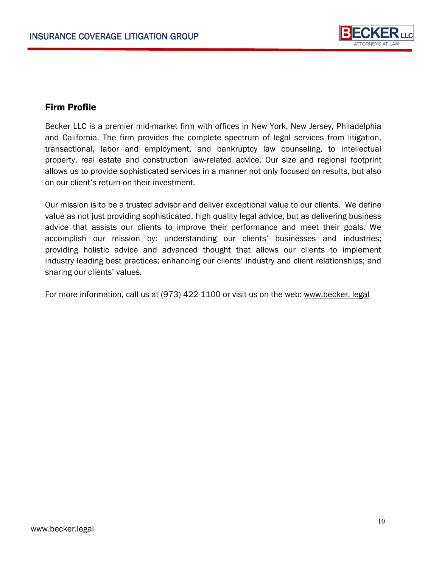

# Firm Profile

Becker LLC is a premier mid-market firm with offices in New York, New Jersey, Philadelphia and California. The firm provides the complete spectrum of legal services from litigation, transactional, labor and employment, and bankruptcy law counseling, to intellectual property, real estate and construction law-related advice. Our size and regional footprint allows us to provide sophisticated services in a manner not only focused on results, but also on our client's return on their investment.

Our mission is to be a trusted advisor and deliver exceptional value to our clients. We define value as not just providing sophisticated, high quality legal advice, but as delivering business advice that assists our clients to improve their performance and meet their goals. We accomplish our mission by: understanding our clients' businesses and industries; providing holistic advice and advanced thought that allows our clients to implement industry leading best practices; enhancing our clients' industry and client relationships; and sharing our clients' values.

For more information, call us at (973) 422-1100 or visit us on the web: www.becker. legal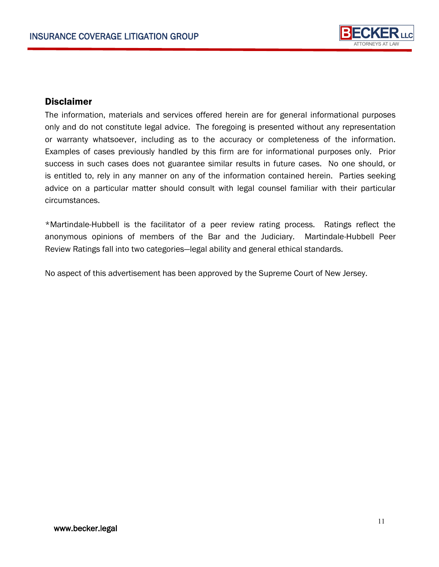

## **Disclaimer**

The information, materials and services offered herein are for general informational purposes only and do not constitute legal advice. The foregoing is presented without any representation or warranty whatsoever, including as to the accuracy or completeness of the information. Examples of cases previously handled by this firm are for informational purposes only. Prior success in such cases does not guarantee similar results in future cases. No one should, or is entitled to, rely in any manner on any of the information contained herein. Parties seeking advice on a particular matter should consult with legal counsel familiar with their particular circumstances.

\*Martindale-Hubbell is the facilitator of a peer review rating process. Ratings reflect the anonymous opinions of members of the Bar and the Judiciary. Martindale-Hubbell Peer Review Ratings fall into two categories—legal ability and general ethical standards.

No aspect of this advertisement has been approved by the Supreme Court of New Jersey.